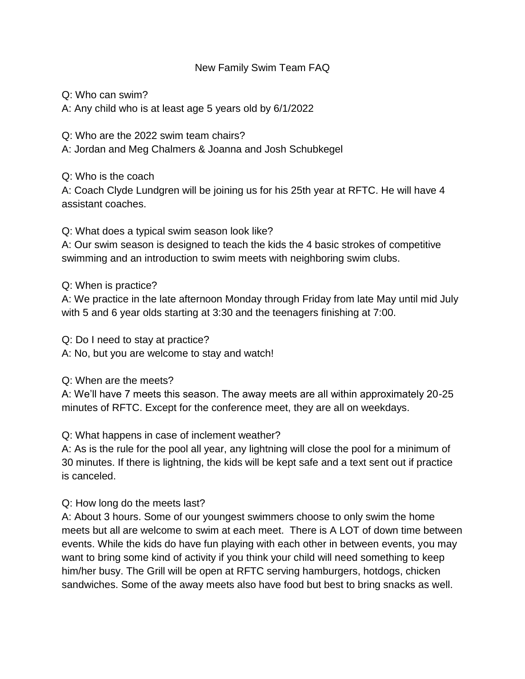## New Family Swim Team FAQ

Q: Who can swim? A: Any child who is at least age 5 years old by 6/1/2022

Q: Who are the 2022 swim team chairs? A: Jordan and Meg Chalmers & Joanna and Josh Schubkegel

Q: Who is the coach

A: Coach Clyde Lundgren will be joining us for his 25th year at RFTC. He will have 4 assistant coaches.

Q: What does a typical swim season look like?

A: Our swim season is designed to teach the kids the 4 basic strokes of competitive swimming and an introduction to swim meets with neighboring swim clubs.

Q: When is practice?

A: We practice in the late afternoon Monday through Friday from late May until mid July with 5 and 6 year olds starting at 3:30 and the teenagers finishing at 7:00.

Q: Do I need to stay at practice?

A: No, but you are welcome to stay and watch!

Q: When are the meets?

A: We'll have 7 meets this season. The away meets are all within approximately 20-25 minutes of RFTC. Except for the conference meet, they are all on weekdays.

Q: What happens in case of inclement weather?

A: As is the rule for the pool all year, any lightning will close the pool for a minimum of 30 minutes. If there is lightning, the kids will be kept safe and a text sent out if practice is canceled.

Q: How long do the meets last?

A: About 3 hours. Some of our youngest swimmers choose to only swim the home meets but all are welcome to swim at each meet. There is A LOT of down time between events. While the kids do have fun playing with each other in between events, you may want to bring some kind of activity if you think your child will need something to keep him/her busy. The Grill will be open at RFTC serving hamburgers, hotdogs, chicken sandwiches. Some of the away meets also have food but best to bring snacks as well.